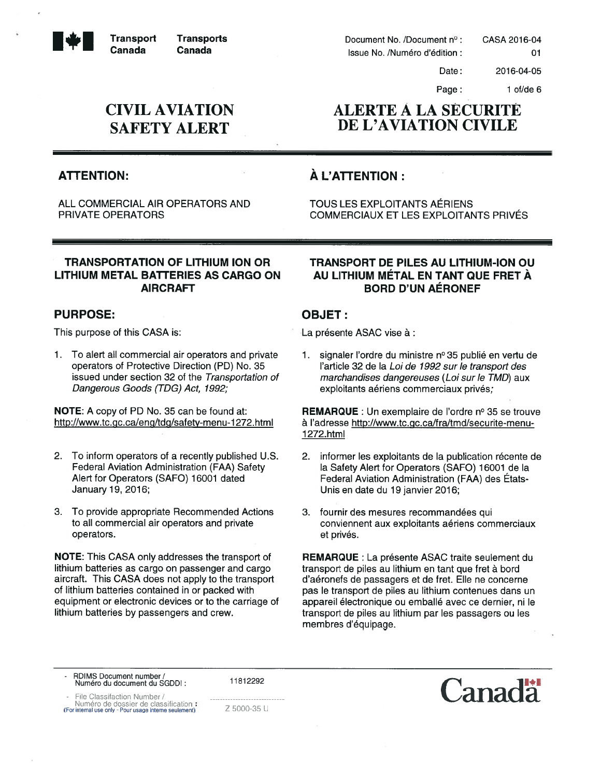**Transport Transports** • Transport Canada Transports Canada

CIVIL AVIATION SAFETY ALERT

# ALERTE A LA SECURITE DE L'AVIATION CIVILE

Document No. /Document n Issue No. /Numéro d'édition:

# ATTENTION:  $\overrightarrow{A}$  L'ATTENTION :

ALL COMMERCIAL AIR OPERATORS AND TOUS LES EXPLOITANTS AERIENS PRIVATE OPERATORS COMMERCIAUX ET LES EXPLOITANTS PRIVES

#### TRANSPORTATION OF LITHIUM ION OR LITHIUM METAL BATTERIES AS CARGO ON AIRCRAFT

#### PURPOSE:

This purpose of this CASA is:

1. To alert all commercial air operators and private operators of Protective Direction (PD) No. 35 issued under section 32 of the Transportation of Dangerous Goods (TDG) Act, 1992;

NOTE: A copy of PD No. 35 can be found at: http://www.tc.gc.ca/eng/tdg/safety-menu-1272.html

- 2. To inform operators of <sup>a</sup> recently published U.S. Federal Aviation Administration (FAA) Safety Alert for Operators (SAFO) 16001 dated January 19, 2016;
- 3. To provide appropriate Recommended Actions to all commercial air operators and private operators.

NOTE: This CASA only addresses the transport of lithium batteries as cargo on passenger and cargo aircraft. This CASA does not apply to the transport of lithium batteries contained in or packed with equipment or electronic devices or to the carriage of lithium batteries by passengers and crew.

#### TRANSPORT DE PILES AU LITHIUM-ION OU AU LITHIUM MÉTAL EN TANT QUE FRET À BORD D'UN AERONEF

### OBJET:

La présente ASAC vise à :

1. signaler I'ordre du ministre <sup>n</sup>° 35 publié en vertu de l'article 32 de Ia Loi de 1992 sur le transport des marchandises dangereuses (Loi sur le TMD) aux exploitants aériens commerciaux privés;

REMARQUE: Un exemplaire de l'ordre nº 35 se trouve à l'adresse http://www.tc.gc.ca/fra/tmd/securite-menu-1 272.html

- 2. informer les exploitants de Ia publication récente de la Safety Alert for Operators (SAFO) 16001 de la Federal Aviation Administration (FAA) des Etats Unis en date du 19 janvier 2016;
- 3. fournir des mesures recommandées qui conviennent aux exploitants aériens commerciaux et privés.

REMARQUE : La présente ASAC traite seulement du transport de piles au lithium en tant que fret à bord d'aéronefs de passagers et de fret. Elle ne concerne pas le transport de piles au lithium contenues dans un appareil électronique ou emballé avec ce dernier, ni le transport de piles au lithium par les passagers ou les membres d'équipage.

- RDIMS Document number/ Numéro du document du SGDDI:

11812292

File Classifaction Number /

Numéro de dossier de classification (For internal use only Pour usage interns seulernent)





01

Date:

Page: 1 of/de 6

2016-04-05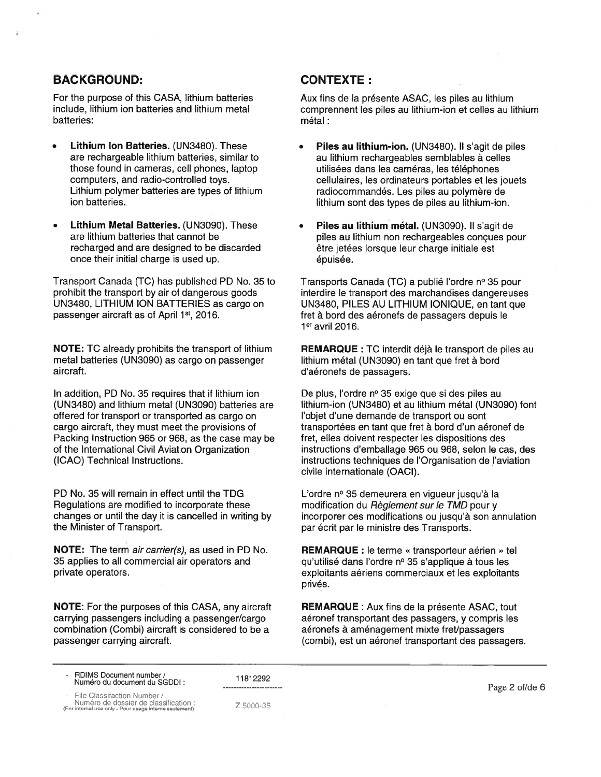#### BACKGROUND:

For the purpose of this CASA, lithium batteries include, lithium ion batteries and lithium metal batteries:

- Lithium Ion Batteries. (UN3480). These are rechargeable lithium batteries, similar to those found in cameras, cell phones, laptop computers, and radio-controlled toys. Lithium polymer batteries are types of lithium ion batteries.
- Lithium Metal Batteries. (UN3090). These are lithium batteries that cannot be recharged and are designed to be discarded once their initial charge is used up.

Transport Canada (TC) has published PD No. 35 to prohibit the transport by air of dangerous goods UN3480, LITHIUM ION BATTERIES as cargo on passenger aircraft as of April 1st, 2016.

NOTE: TC already prohibits the transport of lithium metal batteries (UN3090) as cargo on passenger aircraft.

In addition, PD No. <sup>35</sup> requires that if lithium ion (UN3480) and lithium metal (UN3090) batteries are offered for transport or transported as cargo on cargo aircraft, they must meet the provisions of Packing Instruction 965 or 968, as the case may be of the International Civil Aviation Organization (ICAO) Technical Instructions.

PD No. 35 will remain in effect until the TDG Regulations are modified to incorporate these changes or until the day it is cancelled in writing by the Minister of Transport.

NOTE: The term air carrier(s), as used in PD No. 35 applies to all commercial air operators and private operators.

NOTE: For the purposes of this CASA, any aircraft carrying passengers including <sup>a</sup> passenger/cargo combination (Combi) aircraft is considered to be <sup>a</sup> passenger carrying aircraft.

# CONTEXTE:

Aux fins de Ia présente ASAC, les piles au lithium comprennent Ies piles au lithium-ion et celles au lithium métal:

- Piles au lithium-ion. (UN3480). Il s'agit de piles au lithium rechargeables semblables a celles utilisées dans les cameras, les téléphones cellulaires, les ordinateurs portables et les jouets radiocommandés. Les piles au polymère de lithium sont des types de piles au lithium-ion.
- Piles au lithium métal. (UN3090). Il s'agit de piles au lithium non rechargeables conçues pour être jetées Iorsque leur charge initiale est épuisée.

Transports Canada (TC) a publié l'ordre nº 35 pour interdire le transport des marchandises dangereuses UN3480, PILES AU LITHIUM IONIQUE, en tant que fret a bord des aéronefs de passagers depuis le  $1<sup>er</sup>$  avril 2016.

REMARQUE : TC interdit déjà le transport de piles au lithium métal (UN3090) en tant que fret à bord d'aéronefs de passagers.

De plus, l'ordre nº 35 exige que si des piles au lithium-ion (UN3480) et au lithium métal (UN3090) font I'objet d'une demande de transport ou sont transportées en tant que fret a bord d'un aéronef de fret, elles doivent respecter les dispositions des instructions d'emballage 965 ou 968, selon le cas, des instructions techniques de I'Organisation de I'aviation civile internationale (OACI).

L'ordre <sup>n</sup>° 35 demeurera en vigueur jusqu'à Ia modification du Règlement sur le TMD pour y incorporer ces modifications ou jusqu'à son annulation par écrit par le ministre des Transports.

REMARQUE : le terme « transporteur aérien » tel qu'utilisé dans l'ordre nº 35 s'applique à tous les exploitants aériens commerciaux et les exploitants privés.

REMARQUE : Aux fins de Ia présente ASAC, tout aéronef transportant des passagers, y compris les aéronefs à aménagement mixte fret/passagers (combi), est un aéronef transportant des passagers.

RDIMS Document number/ Numéro du document du SGDDI:

11812292 .....................

- File Classifaction Number I Numéro de dossier de classification:

(For internal use only - Pour usage interne seul-

Z 5000-35

Page 2 of/de 6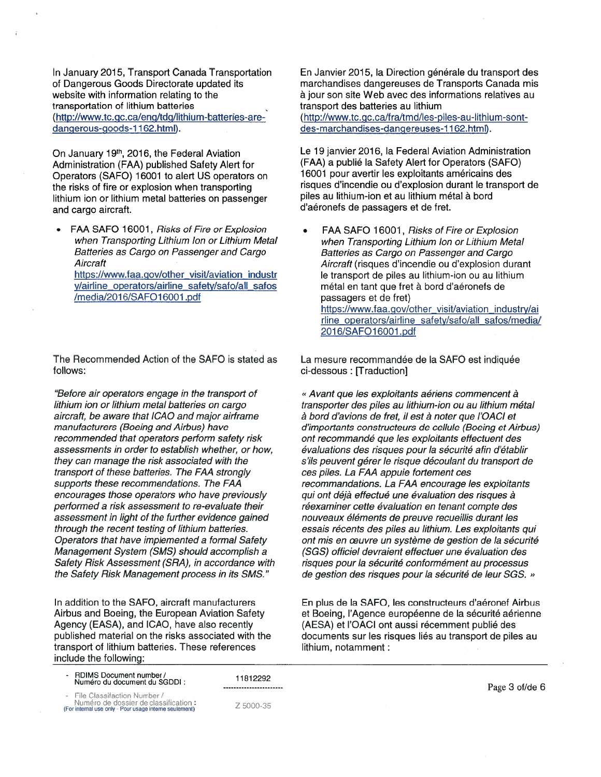In January 2015, Transport Canada Transportation of Dangerous Goods Directorate updated its website with information relating to the transportation of lithium batteries (http://www.tc.gc.ca/eng/tdg/lithium-batteries-are dangerous-goods-1162.html).

On January 19<sup>th</sup>, 2016, the Federal Aviation Administration (FAA) published Safety Alert for Operators (SAFO) 16001 to alert US operators on the risks of fire or explosion when transporting lithium ion or lithium metal batteries on passenger and cargo aircraft.

FAA SAFO 16001, Risks of Fire or Explosion when Transporting Lithium Ion or Lithium Metal Batteries as Cargo on Passenger and Cargo **Aircraft** https://www.faa.gov/other\_visit/aviation\_industr v/airline\_operators/airline\_safety/safo/all\_safos /media/2016/SAFO16001.pdf

The Recommended Action of the SAFO is stated as follows:

"Before air operators engage in the transport of lithium ion or lithium metal batteries on cargo aircraft, be aware that ICAO and major airframe manufacturers (Boeing and Airbus) have recommended that operators perform safety risk assessments in order to establish whether, or how, they can manage the risk associated with the transport of these batteries. The FAA strongly supports these recommendations. The FAA encourages those operators who have previously performed <sup>a</sup> risk assessment to re-evaluate their assessment in light of the further evidence gained through the recent testing of lithium batteries. Operators that have implemented <sup>a</sup> formal Safety Management System (SMS) should accomplish <sup>a</sup> Safety Risk Assessment (SRA), in accordance with the Safety Risk Management process in its SMS."

In addition to the SAFO, aircraft manufacturers Airbus and Boeing, the European Aviation Safety Agency (EASA), and ICAO, have also recently published material on the risks associated with the transport of lithium batteries. These references include the following:

• RDIMS Document number/ Numéro du document du SGDDI:

File Classifaction Number /

Numéro de dossier de classification (For internal use only Pour usage interne seulement)

11812292 --------------------

Z 5000-35

En Janvier 2015, la Direction générale du transport des marchandises dangereuses de Transports Canada mis a jour son site Web avec des informations relatives au transport des batteries au lithium (http://www.tc.gc.ca/fra/tmd/les-piles-au-lithium-sontdes-marchandises-dangereuses-1162.html).

Le 19 janvier 2016, Ia Federal Aviation Administration (FAA) <sup>a</sup> publié Ia Safety Alert for Operators (SAFO) 16001 pour avertir les exploitants américains des risques d'incendie ou d'explosion durant le transport de piles au lithium-ion et au lithium métal à bord d'aéronefs de passagers et de fret.

FAA SAFO 16001, Risks of Fire or Explosion when Transporting Lithium Ion or Lithium Metal Batteries as Cargo on Passenger and Cargo Aircraft (risques d'incendie ou d'explosion durant le transport de piles au lithium-ion ou au lithium metal en tant que fret a bord d'aéronefs de passagers et de fret) https://www.faa.gov/other\_visit/aviation\_industry/ai rline operators/airline safety/safo/all\_safos/media/ 201 6/SAFO1 6001 .pdf

La mesure recommandée de Ia SAFO est indiquée ci-dessous: [Traduction]

<sup>~</sup> Avant que les exploitants aériens commencent a transporter des piles au lithium-ion ou au lithium metal à bord d'avions de fret, il est à noter que l'OACI et d'importants constructeurs de cellule (Boeing et Airbus) ont recommandé que les exploitants effectuent des évaluations des risques pour la sécurité afin d'établir <sup>s</sup>'ils peuvent gérer le risque découlant du transport de ces piles. La FAA appule fortement ces recommandations. La FAA encourage les exploitants qui ont déjà effectué une évaluation des risques à réexaminer cette évaluation en tenant compte des nouveaux éléments de preuve recueillis durant les essais récents des piles au lithium. Les exploitants qui ont mis en œuvre un système de gestion de la sécurité (SGS) officiel devraient effectuer une évaluation des risques pour Ia sécurité conformément au processus de gestion des risques pour la sécurité de leur SGS. »

En plus de Ia SAFO, les constructeurs d'aéronef Airbus et Boeing, l'Agence européenne de Ia sécurité aérienne (AESA) et l'OACI ont aussi récemment publié des documents sur les risques liés au transport de piles au lithium, notamment:

Page 3 of/de 6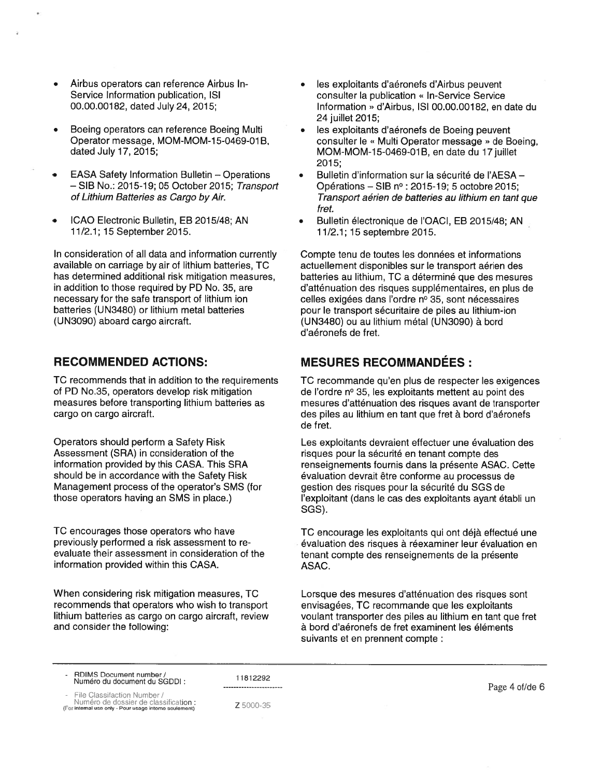- Airbus operators can reference Airbus In-Service Information publication, ISI 00.00.00182, dated July 24, 2015;
- Boeing operators can reference Boeing Multi Operator message, MOM-MOM-15-0469-01B, dated July 17, 2015;
- EASA Safety Information Bulletin Operations - SIB No.: 2015-19; 05 October 2015; Transport of Lithium Batteries as Cargo by Air.
- ICAO Electronic Bulletin, EB 201 5/48; AN 11/2.1; 15 September 2015.

In consideration of all data and information currently available on carriage by air of lithium batteries, TC has determined additional risk mitigation measures, in addition to those required by PD No. 35, are necessary for the safe transport of lithium ion batteries (UN3480) or lithium metal batteries (UN3090) aboard cargo aircraft.

### RECOMMENDED ACTIONS:

TC recommends that in addition to the requirements of PD No.35, operators develop risk mitigation measures before transporting lithium batteries as cargo on cargo aircraft.

Operators should perform <sup>a</sup> Safety Risk Assessment (SRA) in consideration of the information provided by this CASA. This SRA should be in accordance with the Safety Risk Management process of the operator's SMS (for those operators having an SMS in place.)

TC encourages those operators who have previously performed <sup>a</sup> risk assessment to re evaluate their assessment in consideration of the information provided within this CASA.

When considering risk mitigation measures, TC recommends that operators who wish to transport lithium batteries as cargo on cargo aircraft, review and consider the following:

- les exploitants d'aéronefs d'Airbus peuvent consulter la publication « In-Service Service Information » d'Airbus, ISI 00.00.00182, en date du 24 juillet 2015;
- les exploitants d'aéronefs de Boeing peuvent consulter le « Multi Operator message » de Boeing, MOM-MOM-15-0469-01B, en date du 17 juillet 2015;
- Bulletin d'information sur Ia sécurité de I'AESA Opérations – SIB  $n^{\circ}$ : 2015-19; 5 octobre 2015; Transport aérien de batteries au lithium en tant que fret.
- Bulletin électronique de l'OACI, EB 2015/48; AN 11/2.1; 15 septembre 2015.

Compte tenu de toutes les données et informations actuellement disponibles sur le transport aérien des batteries au lithium, TC <sup>a</sup> déterminé que des mesures d'atténuation des risques supplémentaires, en plus de celles exigées dans l'ordre <sup>n</sup>° 35, sont nécessaires pour le transport sécuritaire de piles au lithium-ion (UN3480) ou au lithium metal (UN3090) a bord d'aéronefs de fret.

# **MESURES RECOMMANDÉES:**

TC recommande qu'en plus de respecter les exigences de l'ordre <sup>n</sup>° 35, les exploitants mettent au point des mesures d'atténuation des risques avant de transporter des piles au lithium en tant que fret à bord d'aéronefs de fret.

Les exploitants devraient effectuer une évaluation des risques pour Ia sécurité en tenant compte des renseignements fournis dans Ia présente ASAC. Cette evaluation devrait être conforme au processus de gestion des risques pour Ia sécurité du SGS de l'exploitant (dans le cas des exploitants ayant établi un SGS).

TC encourage les exploitants qui ont déjà effectué une évaluation des risques à réexaminer leur évaluation en tenant compte des renseignements de Ia présente ASAC.

Lorsque des mesures d'atténuation des risques sont envisagées, TC recommande que les exploitants voulant transporter des piles au lithium en tant que fret a bord d'aéronefs de fret examinent les éléments suivants et en prennent compte:

- RDIMS Document number/ Numéro du document du SGDDI:

11812292 -----------------------

File Classifaction Number /

Numéro de dossier de classification: (For internal use only - Pour usage inteme seulement)

Z 5000-35

Page 4 of/de 6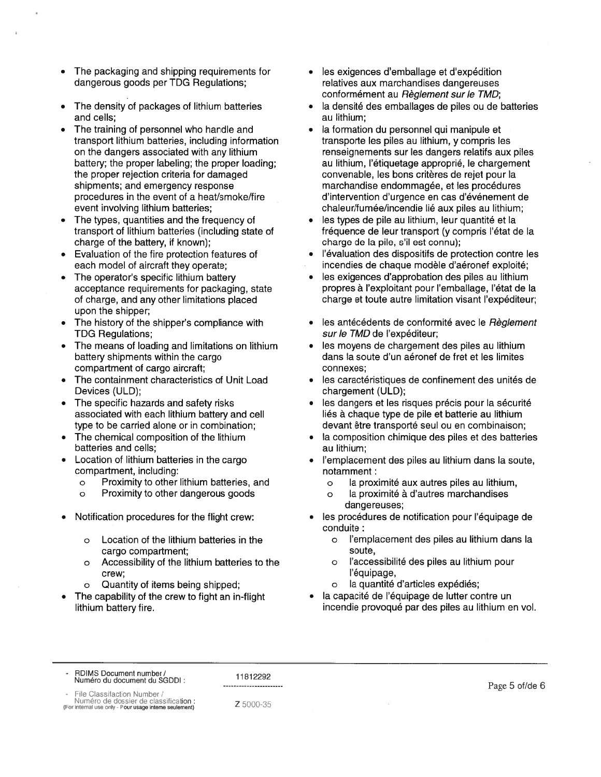- The packaging and shipping requirements for dangerous goods per TDG Regulations;
- The density of packages of lithium batteries and cells;
- The training of personnel who handle and transport lithium batteries, including information on the dangers associated with any lithium battery; the proper labeling; the proper loading; the proper rejection criteria for damaged shipments; and emergency response procedures in the event of <sup>a</sup> heat/smoke/fire event involving lithium batteries;
- The types, quantities and the frequency of transport of lithium batteries (including state of charge of the battery, if known);
- Evaluation of the fire protection features of each model of aircraft they operate;
- The operator's specific lithium battery acceptance requirements for packaging, state of charge, and any other limitations placed upon the shipper;
- The history of the shipper's compliance with TDG Regulations;
- The means of loading and limitations on lithium battery shipments within the cargo compartment of cargo aircraft;
- The containment characteristics of Unit Load Devices (ULD);
- The specific hazards and safety risks associated with each lithium battery and cell type to be carried alone or in combination;
- The chemical composition of the lithium batteries and cells;
- Location of lithium batteries in the cargo compartment, including:
	- <sup>o</sup> Proximity to other lithium batteries, and
	- <sup>o</sup> Proximity to other dangerous goods
- Notification procedures for the flight crew:
	- <sup>o</sup> Location of the lithium batteries in the cargo compartment;
	- <sup>o</sup> Accessibility of the lithium batteries to the crew;
	- <sup>o</sup> Quantity of items being shipped;
- The capability of the crew to fight an in-flight lithium battery fire.
- les exigences d'emballage et d'expédition relatives aux marchandises dangereuses conformément au Règlement sur le TMD;
- la densité des emballages de piles ou de batteries au lithium;
- Ia formation du personnel qui manipule et transporte les piles au lithium, y compris les renseignements sur les dangers relatifs aux piles au lithium, l'étiquetage approprié, le chargement convenable, les bons critères de rejet pour Ia marchandise endommagée, et les procedures d'intervention d'urgence en cas d'événement de chaleur/fumée/incendie lié aux piles au lithium;
- les types de pile au lithium, leur quantité et la fréquence de leur transport (y compris l'état de Ia charge de Ia pile, <sup>s</sup>'il est connu);
- l'évaluation des dispositifs de protection contre les incendies de chaque modèle d'aéronef exploité;
- les exigences d'approbation des piles au lithium propres a l'exploitant pour l'emballage, l'état de Ia charge et toute autre limitation visant l'expéditeur;
- les antécédents de conformité avec le Règlement sur le TMD de l'expéditeur;
- les moyens de chargement des piles au lithium dans Ia soute d'un aéronef de fret et les limites connexes;
- les caractéristiques de confinement des unités de chargement (ULD);
- les dangers et les risques précis pour la sécurité liés à chaque type de pile et batterie au lithium devant être transporté seul ou en combinaison;
- la composition chimique des piles et des batteries au lithium;
- l'emplacement des piles au lithium dans la soute, notamment:
	- <sup>o</sup> Ia proximité aux autres piles au lithium,
	- <sup>o</sup> Ia proximité a d'autres marchandises dangereuses;
- les procédures de notification pour l'équipage de conduite:
	- <sup>o</sup> I'emplacement des piles au lithium dans Ia soute,
	- <sup>o</sup> I'accessibilité des piles au lithium pour I'équipage,
	- <sup>o</sup> Ia quantité d'articles expédiés;
- Ia capacité de I'équipage de lutter contre un incendie provoqué par des piles au lithium en vol.

RDIMS Document number / Numéro du document du SGDDI:

11812292

ile Classifaction Number /

Numéro de dossier de classification<br>(For internal use only - Pour usage interne seulement)

Z 5000-35

Page 5 of/de 6